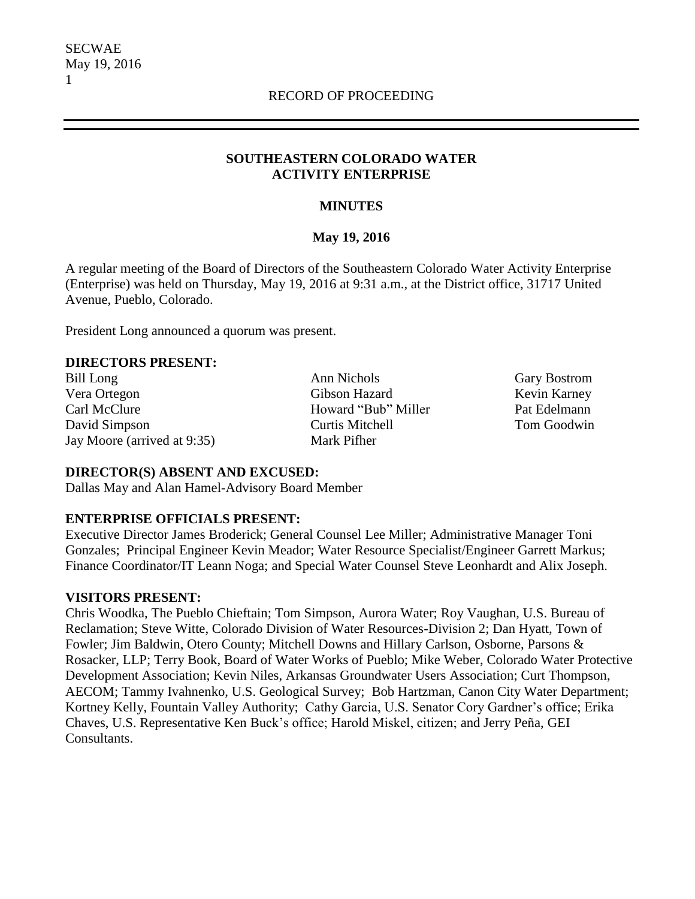### **SOUTHEASTERN COLORADO WATER ACTIVITY ENTERPRISE**

## **MINUTES**

# **May 19, 2016**

A regular meeting of the Board of Directors of the Southeastern Colorado Water Activity Enterprise (Enterprise) was held on Thursday, May 19, 2016 at 9:31 a.m., at the District office, 31717 United Avenue, Pueblo, Colorado.

President Long announced a quorum was present.

### **DIRECTORS PRESENT:**

Bill Long **Ann Nichols** Gary Bostrom Vera Ortegon Gibson Hazard Kevin Karney Carl McClure Howard "Bub" Miller Pat Edelmann David Simpson Curtis Mitchell Tom Goodwin Jay Moore (arrived at 9:35) Mark Pifher

### **DIRECTOR(S) ABSENT AND EXCUSED:**

Dallas May and Alan Hamel-Advisory Board Member

# **ENTERPRISE OFFICIALS PRESENT:**

Executive Director James Broderick; General Counsel Lee Miller; Administrative Manager Toni Gonzales; Principal Engineer Kevin Meador; Water Resource Specialist/Engineer Garrett Markus; Finance Coordinator/IT Leann Noga; and Special Water Counsel Steve Leonhardt and Alix Joseph.

### **VISITORS PRESENT:**

Chris Woodka, The Pueblo Chieftain; Tom Simpson, Aurora Water; Roy Vaughan, U.S. Bureau of Reclamation; Steve Witte, Colorado Division of Water Resources-Division 2; Dan Hyatt, Town of Fowler; Jim Baldwin, Otero County; Mitchell Downs and Hillary Carlson, Osborne, Parsons & Rosacker, LLP; Terry Book, Board of Water Works of Pueblo; Mike Weber, Colorado Water Protective Development Association; Kevin Niles, Arkansas Groundwater Users Association; Curt Thompson, AECOM; Tammy Ivahnenko, U.S. Geological Survey; Bob Hartzman, Canon City Water Department; Kortney Kelly, Fountain Valley Authority; Cathy Garcia, U.S. Senator Cory Gardner's office; Erika Chaves, U.S. Representative Ken Buck's office; Harold Miskel, citizen; and Jerry Peña, GEI Consultants.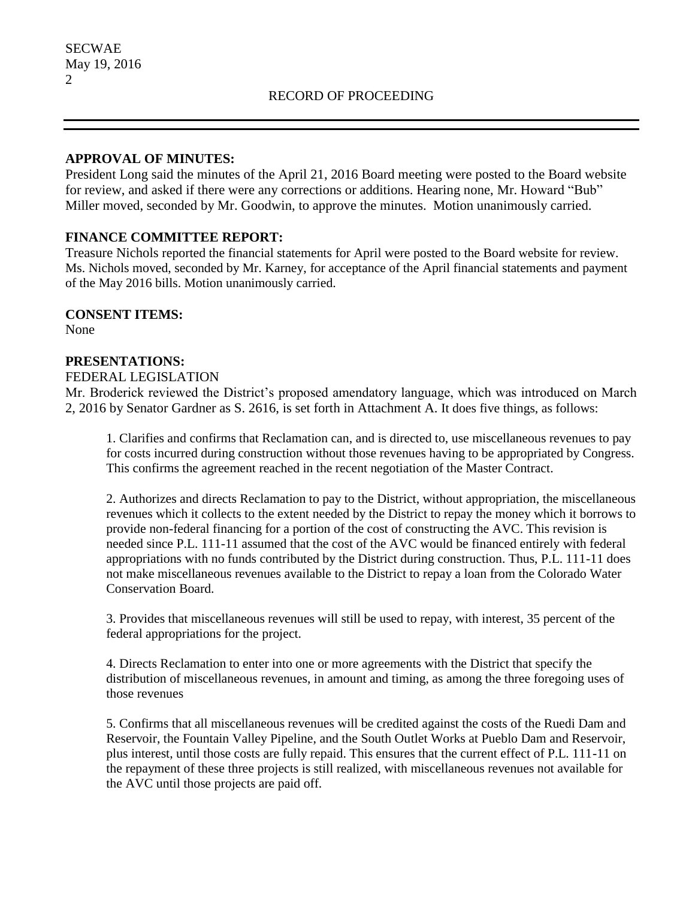### **APPROVAL OF MINUTES:**

President Long said the minutes of the April 21, 2016 Board meeting were posted to the Board website for review, and asked if there were any corrections or additions. Hearing none, Mr. Howard "Bub" Miller moved, seconded by Mr. Goodwin, to approve the minutes. Motion unanimously carried.

## **FINANCE COMMITTEE REPORT:**

Treasure Nichols reported the financial statements for April were posted to the Board website for review. Ms. Nichols moved, seconded by Mr. Karney, for acceptance of the April financial statements and payment of the May 2016 bills. Motion unanimously carried.

### **CONSENT ITEMS:**

None

## **PRESENTATIONS:**

#### FEDERAL LEGISLATION

Mr. Broderick reviewed the District's proposed amendatory language, which was introduced on March 2, 2016 by Senator Gardner as S. 2616, is set forth in Attachment A. It does five things, as follows:

1. Clarifies and confirms that Reclamation can, and is directed to, use miscellaneous revenues to pay for costs incurred during construction without those revenues having to be appropriated by Congress. This confirms the agreement reached in the recent negotiation of the Master Contract.

2. Authorizes and directs Reclamation to pay to the District, without appropriation, the miscellaneous revenues which it collects to the extent needed by the District to repay the money which it borrows to provide non-federal financing for a portion of the cost of constructing the AVC. This revision is needed since P.L. 111-11 assumed that the cost of the AVC would be financed entirely with federal appropriations with no funds contributed by the District during construction. Thus, P.L. 111-11 does not make miscellaneous revenues available to the District to repay a loan from the Colorado Water Conservation Board.

3. Provides that miscellaneous revenues will still be used to repay, with interest, 35 percent of the federal appropriations for the project.

4. Directs Reclamation to enter into one or more agreements with the District that specify the distribution of miscellaneous revenues, in amount and timing, as among the three foregoing uses of those revenues

5. Confirms that all miscellaneous revenues will be credited against the costs of the Ruedi Dam and Reservoir, the Fountain Valley Pipeline, and the South Outlet Works at Pueblo Dam and Reservoir, plus interest, until those costs are fully repaid. This ensures that the current effect of P.L. 111-11 on the repayment of these three projects is still realized, with miscellaneous revenues not available for the AVC until those projects are paid off.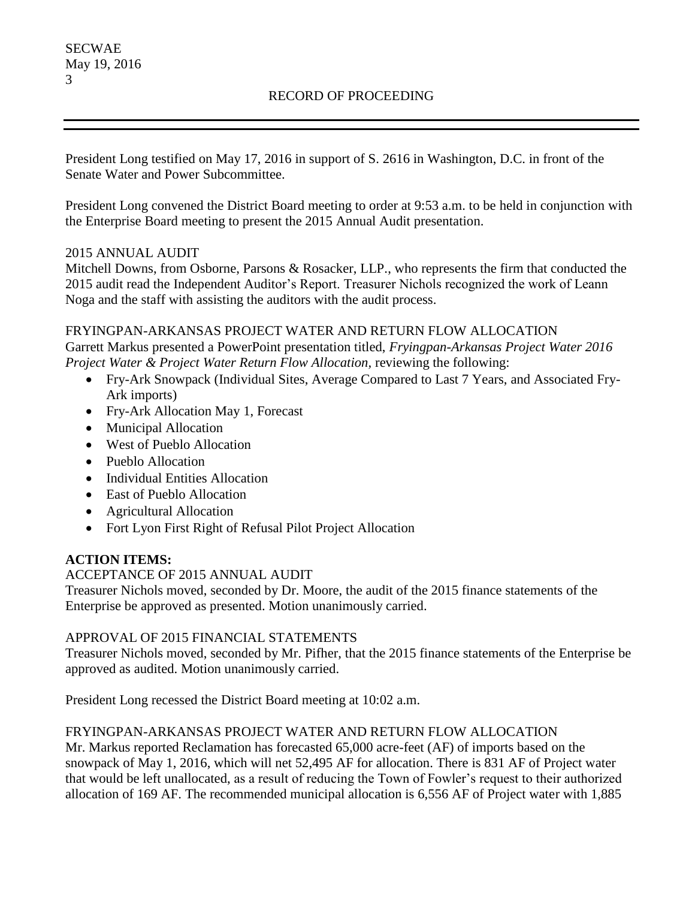# RECORD OF PROCEEDING

President Long testified on May 17, 2016 in support of S. 2616 in Washington, D.C. in front of the Senate Water and Power Subcommittee.

President Long convened the District Board meeting to order at 9:53 a.m. to be held in conjunction with the Enterprise Board meeting to present the 2015 Annual Audit presentation.

## 2015 ANNUAL AUDIT

Mitchell Downs, from Osborne, Parsons & Rosacker, LLP., who represents the firm that conducted the 2015 audit read the Independent Auditor's Report. Treasurer Nichols recognized the work of Leann Noga and the staff with assisting the auditors with the audit process.

## FRYINGPAN-ARKANSAS PROJECT WATER AND RETURN FLOW ALLOCATION

Garrett Markus presented a PowerPoint presentation titled, *Fryingpan-Arkansas Project Water 2016 Project Water & Project Water Return Flow Allocation,* reviewing the following:

- Fry-Ark Snowpack (Individual Sites, Average Compared to Last 7 Years, and Associated Fry-Ark imports)
- Fry-Ark Allocation May 1, Forecast
- Municipal Allocation
- West of Pueblo Allocation
- Pueblo Allocation
- Individual Entities Allocation
- East of Pueblo Allocation
- Agricultural Allocation
- Fort Lyon First Right of Refusal Pilot Project Allocation

# **ACTION ITEMS:**

# ACCEPTANCE OF 2015 ANNUAL AUDIT

Treasurer Nichols moved, seconded by Dr. Moore, the audit of the 2015 finance statements of the Enterprise be approved as presented. Motion unanimously carried.

# APPROVAL OF 2015 FINANCIAL STATEMENTS

Treasurer Nichols moved, seconded by Mr. Pifher, that the 2015 finance statements of the Enterprise be approved as audited. Motion unanimously carried.

President Long recessed the District Board meeting at 10:02 a.m.

# FRYINGPAN-ARKANSAS PROJECT WATER AND RETURN FLOW ALLOCATION

Mr. Markus reported Reclamation has forecasted 65,000 acre-feet (AF) of imports based on the snowpack of May 1, 2016, which will net 52,495 AF for allocation. There is 831 AF of Project water that would be left unallocated, as a result of reducing the Town of Fowler's request to their authorized allocation of 169 AF. The recommended municipal allocation is 6,556 AF of Project water with 1,885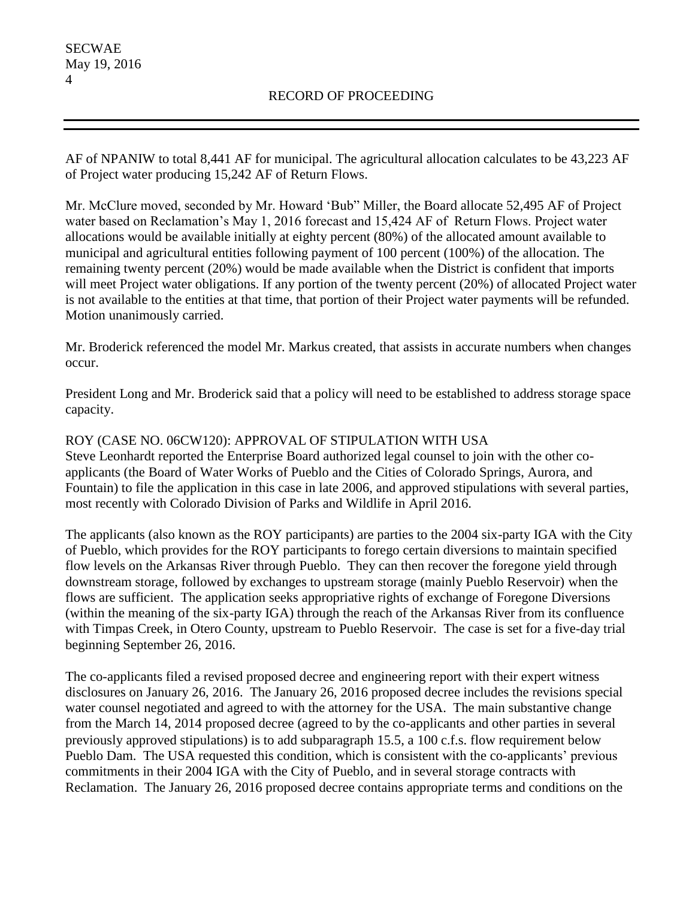AF of NPANIW to total 8,441 AF for municipal. The agricultural allocation calculates to be 43,223 AF of Project water producing 15,242 AF of Return Flows.

Mr. McClure moved, seconded by Mr. Howard 'Bub" Miller, the Board allocate 52,495 AF of Project water based on Reclamation's May 1, 2016 forecast and 15,424 AF of Return Flows. Project water allocations would be available initially at eighty percent (80%) of the allocated amount available to municipal and agricultural entities following payment of 100 percent (100%) of the allocation. The remaining twenty percent (20%) would be made available when the District is confident that imports will meet Project water obligations. If any portion of the twenty percent (20%) of allocated Project water is not available to the entities at that time, that portion of their Project water payments will be refunded. Motion unanimously carried.

Mr. Broderick referenced the model Mr. Markus created, that assists in accurate numbers when changes occur.

President Long and Mr. Broderick said that a policy will need to be established to address storage space capacity.

ROY (CASE NO. 06CW120): APPROVAL OF STIPULATION WITH USA Steve Leonhardt reported the Enterprise Board authorized legal counsel to join with the other coapplicants (the Board of Water Works of Pueblo and the Cities of Colorado Springs, Aurora, and Fountain) to file the application in this case in late 2006, and approved stipulations with several parties, most recently with Colorado Division of Parks and Wildlife in April 2016.

The applicants (also known as the ROY participants) are parties to the 2004 six-party IGA with the City of Pueblo, which provides for the ROY participants to forego certain diversions to maintain specified flow levels on the Arkansas River through Pueblo. They can then recover the foregone yield through downstream storage, followed by exchanges to upstream storage (mainly Pueblo Reservoir) when the flows are sufficient. The application seeks appropriative rights of exchange of Foregone Diversions (within the meaning of the six-party IGA) through the reach of the Arkansas River from its confluence with Timpas Creek, in Otero County, upstream to Pueblo Reservoir. The case is set for a five-day trial beginning September 26, 2016.

The co-applicants filed a revised proposed decree and engineering report with their expert witness disclosures on January 26, 2016. The January 26, 2016 proposed decree includes the revisions special water counsel negotiated and agreed to with the attorney for the USA. The main substantive change from the March 14, 2014 proposed decree (agreed to by the co-applicants and other parties in several previously approved stipulations) is to add subparagraph 15.5, a 100 c.f.s. flow requirement below Pueblo Dam. The USA requested this condition, which is consistent with the co-applicants' previous commitments in their 2004 IGA with the City of Pueblo, and in several storage contracts with Reclamation. The January 26, 2016 proposed decree contains appropriate terms and conditions on the